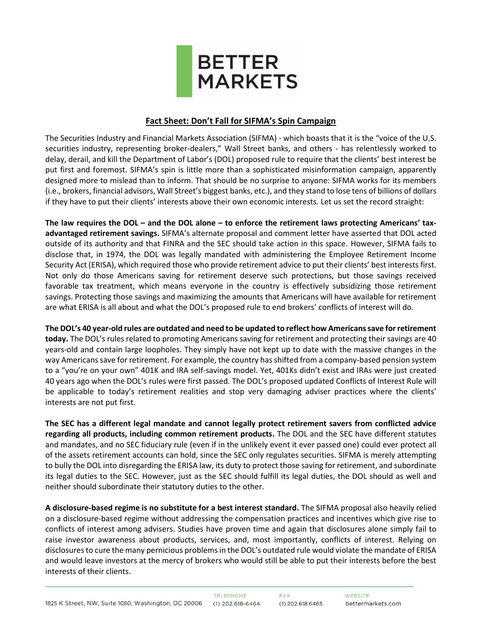

## **Fact Sheet: Don't Fall for SIFMA's Spin Campaign**

The Securities Industry and Financial Markets Association (SIFMA) - which boasts that it is the "voice of the U.S. securities industry, representing broker-dealers," Wall Street banks, and others - has relentlessly worked to delay, derail, and kill the Department of Labor's (DOL) proposed rule to require that the clients' best interest be put first and foremost. SIFMA's spin is little more than a sophisticated misinformation campaign, apparently designed more to mislead than to inform. That should be no surprise to anyone: SIFMA works for its members (i.e., brokers, financial advisors, Wall Street's biggest banks, etc.), and they stand to lose tens of billions of dollars if they have to put their clients' interests above their own economic interests. Let us set the record straight:

**The law requires the DOL – and the DOL alone – to enforce the retirement laws protecting Americans' taxadvantaged retirement savings.** SIFMA's alternate proposal and comment letter have asserted that DOL acted outside of its authority and that FINRA and the SEC should take action in this space. However, SIFMA fails to disclose that, in 1974, the DOL was legally mandated with administering the Employee Retirement Income Security Act (ERISA), which required those who provide retirement advice to put their clients' best interests first. Not only do those Americans saving for retirement deserve such protections, but those savings received favorable tax treatment, which means everyone in the country is effectively subsidizing those retirement savings. Protecting those savings and maximizing the amounts that Americans will have available for retirement are what ERISA is all about and what the DOL's proposed rule to end brokers' conflicts of interest will do.

**The DOL's 40 year-old rules are outdated and need to be updated to reflect how Americans save for retirement today.** The DOL's rules related to promoting Americans saving for retirement and protecting their savings are 40 years-old and contain large loopholes. They simply have not kept up to date with the massive changes in the way Americanssave for retirement. For example, the country has shifted from a company-based pension system to a "you're on your own" 401K and IRA self-savings model. Yet, 401Ks didn't exist and IRAs were just created 40 years ago when the DOL's rules were first passed. The DOL's proposed updated Conflicts of Interest Rule will be applicable to today's retirement realities and stop very damaging adviser practices where the clients' interests are not put first.

**The SEC has a different legal mandate and cannot legally protect retirement savers from conflicted advice regarding all products, including common retirement products.** The DOL and the SEC have different statutes and mandates, and no SEC fiduciary rule (even if in the unlikely event it ever passed one) could ever protect all of the assets retirement accounts can hold, since the SEC only regulates securities. SIFMA is merely attempting to bully the DOL into disregarding the ERISA law, its duty to protect those saving for retirement, and subordinate its legal duties to the SEC. However, just as the SEC should fulfill its legal duties, the DOL should as well and neither should subordinate their statutory duties to the other.

**A disclosure-based regime is no substitute for a best interest standard.** The SIFMA proposal also heavily relied on a disclosure-based regime without addressing the compensation practices and incentives which give rise to conflicts of interest among advisers. Studies have proven time and again that disclosures alone simply fail to raise investor awareness about products, services, and, most importantly, conflicts of interest. Relying on disclosures to cure the many pernicious problems in the DOL's outdated rule would violate the mandate of ERISA and would leave investors at the mercy of brokers who would still be able to put their interests before the best interests of their clients.